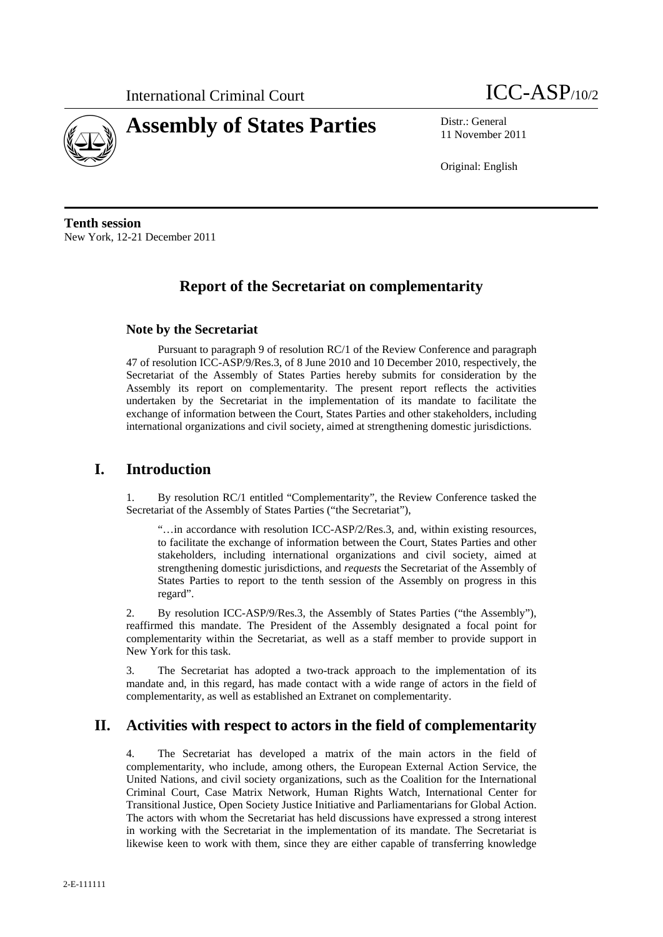



11 November 2011

Original: English

**Tenth session**  New York, 12-21 December 2011

# **Report of the Secretariat on complementarity**

#### **Note by the Secretariat**

Pursuant to paragraph 9 of resolution RC/1 of the Review Conference and paragraph 47 of resolution ICC-ASP/9/Res.3, of 8 June 2010 and 10 December 2010, respectively, the Secretariat of the Assembly of States Parties hereby submits for consideration by the Assembly its report on complementarity. The present report reflects the activities undertaken by the Secretariat in the implementation of its mandate to facilitate the exchange of information between the Court, States Parties and other stakeholders, including international organizations and civil society, aimed at strengthening domestic jurisdictions.

### **I. Introduction**

1. By resolution RC/1 entitled "Complementarity", the Review Conference tasked the Secretariat of the Assembly of States Parties ("the Secretariat"),

"…in accordance with resolution ICC-ASP/2/Res.3, and, within existing resources, to facilitate the exchange of information between the Court, States Parties and other stakeholders, including international organizations and civil society, aimed at strengthening domestic jurisdictions, and *requests* the Secretariat of the Assembly of States Parties to report to the tenth session of the Assembly on progress in this regard".

2. By resolution ICC-ASP/9/Res.3, the Assembly of States Parties ("the Assembly"), reaffirmed this mandate. The President of the Assembly designated a focal point for complementarity within the Secretariat, as well as a staff member to provide support in New York for this task.

3. The Secretariat has adopted a two-track approach to the implementation of its mandate and, in this regard, has made contact with a wide range of actors in the field of complementarity, as well as established an Extranet on complementarity.

## **II. Activities with respect to actors in the field of complementarity**

4. The Secretariat has developed a matrix of the main actors in the field of complementarity, who include, among others, the European External Action Service, the United Nations, and civil society organizations, such as the Coalition for the International Criminal Court, Case Matrix Network, Human Rights Watch, International Center for Transitional Justice, Open Society Justice Initiative and Parliamentarians for Global Action. The actors with whom the Secretariat has held discussions have expressed a strong interest in working with the Secretariat in the implementation of its mandate. The Secretariat is likewise keen to work with them, since they are either capable of transferring knowledge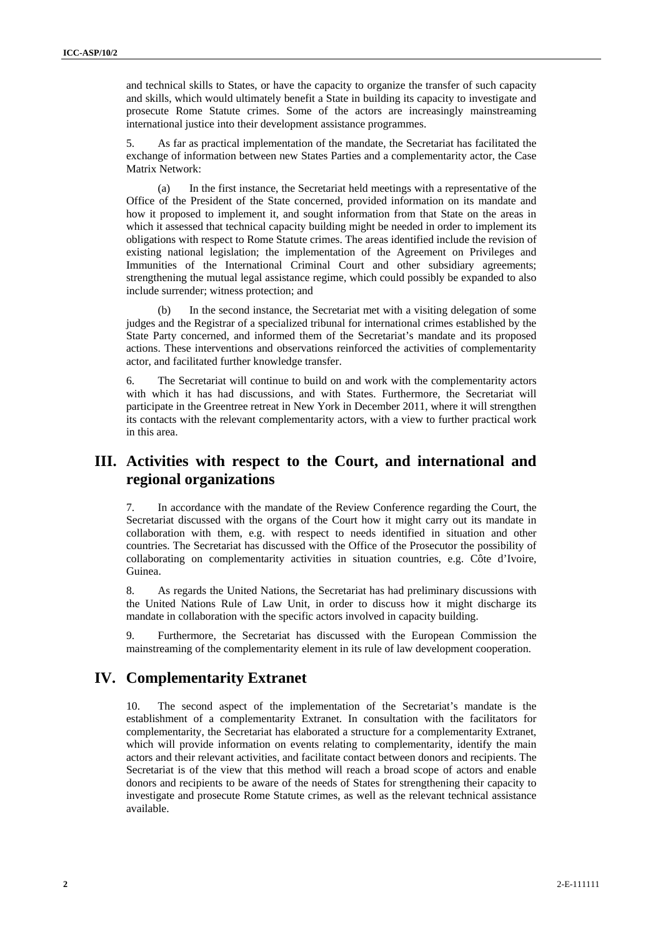and technical skills to States, or have the capacity to organize the transfer of such capacity and skills, which would ultimately benefit a State in building its capacity to investigate and prosecute Rome Statute crimes. Some of the actors are increasingly mainstreaming international justice into their development assistance programmes.

5. As far as practical implementation of the mandate, the Secretariat has facilitated the exchange of information between new States Parties and a complementarity actor, the Case Matrix Network:

(a) In the first instance, the Secretariat held meetings with a representative of the Office of the President of the State concerned, provided information on its mandate and how it proposed to implement it, and sought information from that State on the areas in which it assessed that technical capacity building might be needed in order to implement its obligations with respect to Rome Statute crimes. The areas identified include the revision of existing national legislation; the implementation of the Agreement on Privileges and Immunities of the International Criminal Court and other subsidiary agreements; strengthening the mutual legal assistance regime, which could possibly be expanded to also include surrender; witness protection; and

(b) In the second instance, the Secretariat met with a visiting delegation of some judges and the Registrar of a specialized tribunal for international crimes established by the State Party concerned, and informed them of the Secretariat's mandate and its proposed actions. These interventions and observations reinforced the activities of complementarity actor, and facilitated further knowledge transfer.

6. The Secretariat will continue to build on and work with the complementarity actors with which it has had discussions, and with States. Furthermore, the Secretariat will participate in the Greentree retreat in New York in December 2011, where it will strengthen its contacts with the relevant complementarity actors, with a view to further practical work in this area.

### **III. Activities with respect to the Court, and international and regional organizations**

7. In accordance with the mandate of the Review Conference regarding the Court, the Secretariat discussed with the organs of the Court how it might carry out its mandate in collaboration with them, e.g. with respect to needs identified in situation and other countries. The Secretariat has discussed with the Office of the Prosecutor the possibility of collaborating on complementarity activities in situation countries, e.g. Côte d'Ivoire, Guinea.

8. As regards the United Nations, the Secretariat has had preliminary discussions with the United Nations Rule of Law Unit, in order to discuss how it might discharge its mandate in collaboration with the specific actors involved in capacity building.

9. Furthermore, the Secretariat has discussed with the European Commission the mainstreaming of the complementarity element in its rule of law development cooperation.

#### **IV. Complementarity Extranet**

10. The second aspect of the implementation of the Secretariat's mandate is the establishment of a complementarity Extranet. In consultation with the facilitators for complementarity, the Secretariat has elaborated a structure for a complementarity Extranet, which will provide information on events relating to complementarity, identify the main actors and their relevant activities, and facilitate contact between donors and recipients. The Secretariat is of the view that this method will reach a broad scope of actors and enable donors and recipients to be aware of the needs of States for strengthening their capacity to investigate and prosecute Rome Statute crimes, as well as the relevant technical assistance available.